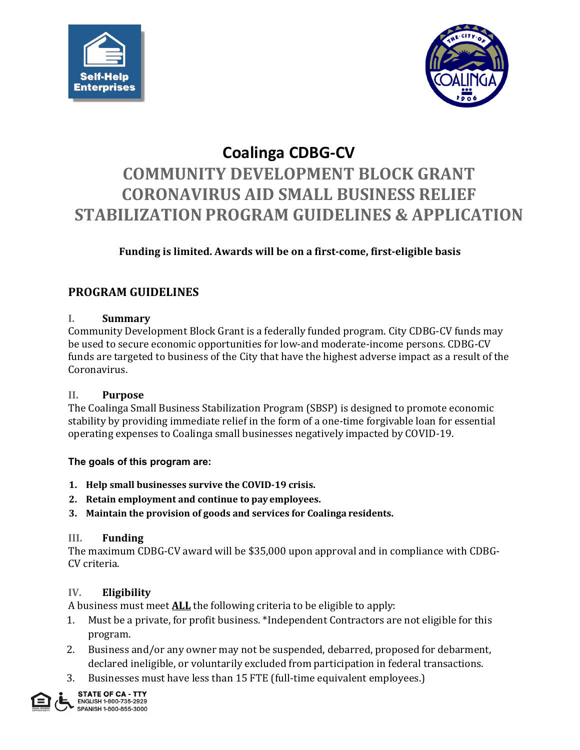



# **Coalinga CDBG-CV COMMUNITY DEVELOPMENT BLOCK GRANT CORONAVIRUS AID SMALL BUSINESS RELIEF STABILIZATION PROGRAM GUIDELINES & APPLICATION**

# **Funding is limited. Awards will be on a first-come, first-eligible basis**

# **PROGRAM GUIDELINES**

## **I. Summary**

Community Development Block Grant is a federally funded program. City CDBG-CV funds may be used to secure economic opportunities for low-and moderate-income persons. CDBG-CV funds are targeted to business of the City that have the highest adverse impact as a result of the Coronavirus.

## **II. Purpose**

The Coalinga Small Business Stabilization Program (SBSP) is designed to promote economic stability by providing immediate relief in the form of a one-time forgivable loan for essential operating expenses to Coalinga small businesses negatively impacted by COVID-19.

## **The goals of this program are:**

- **1. Help small businesses survive the COVID-19 crisis.**
- **2. Retain employment and continue to pay employees.**
- **3. Maintain the provision of goods and services for Coalinga residents.**

## **III. Funding**

The maximum CDBG-CV award will be \$35,000 upon approval and in compliance with CDBG-CV criteria.

## **IV. Eligibility**

A business must meet **ALL** the following criteria to be eligible to apply:

- 1. Must be a private, for profit business. \*Independent Contractors are not eligible for this program.
- 2. Business and/or any owner may not be suspended, debarred, proposed for debarment, declared ineligible, or voluntarily excluded from participation in federal transactions.
- 3. Businesses must have less than 15 FTE (full-time equivalent employees.)

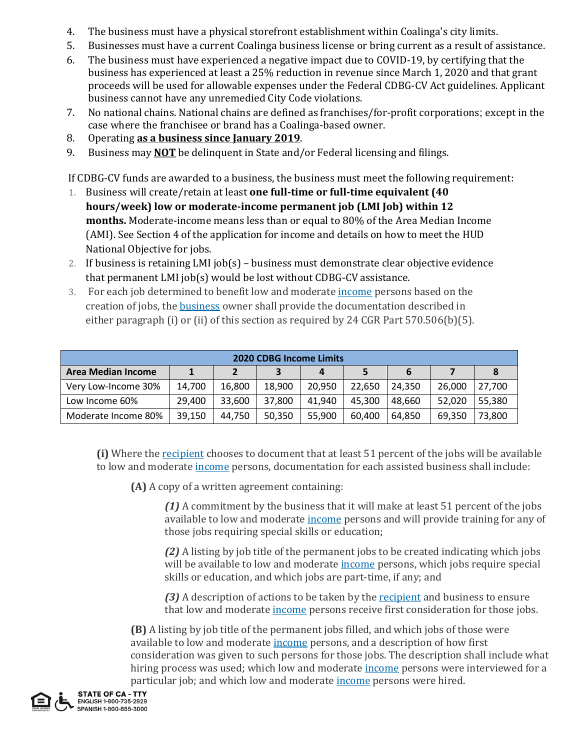- 4. The business must have a physical storefront establishment within Coalinga's city limits.
- 5. Businesses must have a current Coalinga business license or bring current as a result of assistance.
- 6. The business must have experienced a negative impact due to COVID-19, by certifying that the business has experienced at least a 25% reduction in revenue since March 1, 2020 and that grant proceeds will be used for allowable expenses under the Federal CDBG-CV Act guidelines. Applicant business cannot have any unremedied City Code violations.
- 7. No national chains. National chains are defined as franchises/for-profit corporations; except in the case where the franchisee or brand has a Coalinga-based owner.
- 8. Operating **as a business since January 2019**.
- 9. Business may **NOT** be delinquent in State and/or Federal licensing and filings.

If CDBG-CV funds are awarded to a business, the business must meet the following requirement:

- 1. Business will create/retain at least **one full-time or full-time equivalent (40 hours/week) low or moderate-income permanent job (LMI Job) within 12 months.** Moderate-income means less than or equal to 80% of the Area Median Income (AMI). See Section 4 of the application for income and details on how to meet the HUD National Objective for jobs.
- 2. If business is retaining LMI job(s) business must demonstrate clear objective evidence that permanent LMI job(s) would be lost without CDBG-CV assistance.
- 3. For each job determined to benefit low and moderate *[income](https://www.law.cornell.edu/definitions/index.php?width=840&height=800&iframe=true&def_id=31ea9a12a77cf51b82fe3b9f8fd09d10&term_occur=999&term_src=Title:24:Subtitle:B:Chapter:V:Subchapter:C:Part:570:Subpart:J:570.506)* persons based on the creation of jobs, the [business](https://www.law.cornell.edu/definitions/index.php?width=840&height=800&iframe=true&def_id=5f47e0eacc36125d40b57e3eb1927572&term_occur=999&term_src=Title:24:Subtitle:B:Chapter:V:Subchapter:C:Part:570:Subpart:J:570.506) owner shall provide the documentation described in either paragraph (i) or (ii) of this section as required by 24 CGR Part 570.506(b)(5).

| <b>2020 CDBG Income Limits</b> |        |        |        |        |        |        |        |        |  |  |
|--------------------------------|--------|--------|--------|--------|--------|--------|--------|--------|--|--|
| <b>Area Median Income</b>      |        |        | 3      | 4      |        | 6      |        | 8      |  |  |
| Very Low-Income 30%            | 14.700 | 16,800 | 18,900 | 20,950 | 22.650 | 24.350 | 26.000 | 27,700 |  |  |
| Low Income 60%                 | 29,400 | 33,600 | 37,800 | 41,940 | 45.300 | 48.660 | 52.020 | 55,380 |  |  |
| Moderate Income 80%            | 39,150 | 44.750 | 50.350 | 55,900 | 60.400 | 64.850 | 69.350 | 73,800 |  |  |

**(i)** Where the [recipient](https://www.law.cornell.edu/definitions/index.php?width=840&height=800&iframe=true&def_id=5f47e0eacc36125d40b57e3eb1927572&term_occur=999&term_src=Title:24:Subtitle:B:Chapter:V:Subchapter:C:Part:570:Subpart:J:570.506) chooses to document that at least 51 percent of the jobs will be available to low and moderate [income](https://www.law.cornell.edu/definitions/index.php?width=840&height=800&iframe=true&def_id=31ea9a12a77cf51b82fe3b9f8fd09d10&term_occur=999&term_src=Title:24:Subtitle:B:Chapter:V:Subchapter:C:Part:570:Subpart:J:570.506) persons, documentation for each assisted business shall include:

**(A)** A copy of a written agreement containing:

*(1)* A commitment by the business that it will make at least 51 percent of the jobs available to low and moderate [income](https://www.law.cornell.edu/definitions/index.php?width=840&height=800&iframe=true&def_id=31ea9a12a77cf51b82fe3b9f8fd09d10&term_occur=999&term_src=Title:24:Subtitle:B:Chapter:V:Subchapter:C:Part:570:Subpart:J:570.506) persons and will provide training for any of those jobs requiring special skills or education;

*(2)* A listing by job title of the permanent jobs to be created indicating which jobs will be available to low and moderate [income](https://www.law.cornell.edu/definitions/index.php?width=840&height=800&iframe=true&def_id=31ea9a12a77cf51b82fe3b9f8fd09d10&term_occur=999&term_src=Title:24:Subtitle:B:Chapter:V:Subchapter:C:Part:570:Subpart:J:570.506) persons, which jobs require special skills or education, and which jobs are part-time, if any; and

*(3)* A description of actions to be taken by the [recipient](https://www.law.cornell.edu/definitions/index.php?width=840&height=800&iframe=true&def_id=5f47e0eacc36125d40b57e3eb1927572&term_occur=999&term_src=Title:24:Subtitle:B:Chapter:V:Subchapter:C:Part:570:Subpart:J:570.506) and business to ensure that low and moderate [income](https://www.law.cornell.edu/definitions/index.php?width=840&height=800&iframe=true&def_id=31ea9a12a77cf51b82fe3b9f8fd09d10&term_occur=999&term_src=Title:24:Subtitle:B:Chapter:V:Subchapter:C:Part:570:Subpart:J:570.506) persons receive first consideration for those jobs.

**(B)** A listing by job title of the permanent jobs filled, and which jobs of those were available to low and moderate [income](https://www.law.cornell.edu/definitions/index.php?width=840&height=800&iframe=true&def_id=31ea9a12a77cf51b82fe3b9f8fd09d10&term_occur=999&term_src=Title:24:Subtitle:B:Chapter:V:Subchapter:C:Part:570:Subpart:J:570.506) persons, and a description of how first consideration was given to such persons for those jobs. The description shall include what hiring process was used; which low and moderate [income](https://www.law.cornell.edu/definitions/index.php?width=840&height=800&iframe=true&def_id=31ea9a12a77cf51b82fe3b9f8fd09d10&term_occur=999&term_src=Title:24:Subtitle:B:Chapter:V:Subchapter:C:Part:570:Subpart:J:570.506) persons were interviewed for a particular job; and which low and moderate <u>[income](https://www.law.cornell.edu/definitions/index.php?width=840&height=800&iframe=true&def_id=31ea9a12a77cf51b82fe3b9f8fd09d10&term_occur=999&term_src=Title:24:Subtitle:B:Chapter:V:Subchapter:C:Part:570:Subpart:J:570.506)</u> persons were hired.<br>ENGLISH 1-800-735-2929<br>ENGLISH 1-800-735-2929

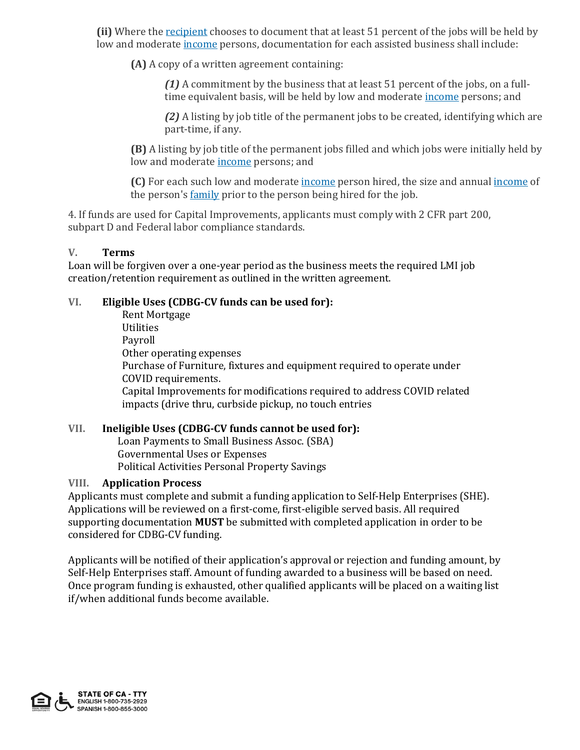**(ii)** Where the [recipient](https://www.law.cornell.edu/definitions/index.php?width=840&height=800&iframe=true&def_id=5f47e0eacc36125d40b57e3eb1927572&term_occur=999&term_src=Title:24:Subtitle:B:Chapter:V:Subchapter:C:Part:570:Subpart:J:570.506) chooses to document that at least 51 percent of the jobs will be held by low and moderate [income](https://www.law.cornell.edu/definitions/index.php?width=840&height=800&iframe=true&def_id=31ea9a12a77cf51b82fe3b9f8fd09d10&term_occur=999&term_src=Title:24:Subtitle:B:Chapter:V:Subchapter:C:Part:570:Subpart:J:570.506) persons, documentation for each assisted business shall include:

**(A)** A copy of a written agreement containing:

*(1)* A commitment by the business that at least 51 percent of the jobs, on a fulltime equivalent basis, will be held by low and moderate [income](https://www.law.cornell.edu/definitions/index.php?width=840&height=800&iframe=true&def_id=31ea9a12a77cf51b82fe3b9f8fd09d10&term_occur=999&term_src=Title:24:Subtitle:B:Chapter:V:Subchapter:C:Part:570:Subpart:J:570.506) persons; and

*(2)* A listing by job title of the permanent jobs to be created, identifying which are part-time, if any.

**(B)** A listing by job title of the permanent jobs filled and which jobs were initially held by low and moderate [income](https://www.law.cornell.edu/definitions/index.php?width=840&height=800&iframe=true&def_id=31ea9a12a77cf51b82fe3b9f8fd09d10&term_occur=999&term_src=Title:24:Subtitle:B:Chapter:V:Subchapter:C:Part:570:Subpart:J:570.506) persons; and

**(C)** For each such low and moderate [income](https://www.law.cornell.edu/definitions/index.php?width=840&height=800&iframe=true&def_id=31ea9a12a77cf51b82fe3b9f8fd09d10&term_occur=999&term_src=Title:24:Subtitle:B:Chapter:V:Subchapter:C:Part:570:Subpart:J:570.506) person hired, the size and annual [income](https://www.law.cornell.edu/definitions/index.php?width=840&height=800&iframe=true&def_id=31ea9a12a77cf51b82fe3b9f8fd09d10&term_occur=999&term_src=Title:24:Subtitle:B:Chapter:V:Subchapter:C:Part:570:Subpart:J:570.506) of the person's [family](https://www.law.cornell.edu/definitions/index.php?width=840&height=800&iframe=true&def_id=be6bf21fb6e802a6caa6a65a99a9e110&term_occur=999&term_src=Title:24:Subtitle:B:Chapter:V:Subchapter:C:Part:570:Subpart:J:570.506) prior to the person being hired for the job.

4. If funds are used for Capital Improvements, applicants must comply with 2 CFR part 200, subpart D and Federal labor compliance standards.

## **V. Terms**

Loan will be forgiven over a one-year period as the business meets the required LMI job creation/retention requirement as outlined in the written agreement.

## **VI. Eligible Uses (CDBG-CV funds can be used for):**

Rent Mortgage Utilities Payroll Other operating expenses Purchase of Furniture, fixtures and equipment required to operate under COVID requirements. Capital Improvements for modifications required to address COVID related impacts (drive thru, curbside pickup, no touch entries

### **VII. Ineligible Uses (CDBG-CV funds cannot be used for):**

Loan Payments to Small Business Assoc. (SBA) Governmental Uses or Expenses Political Activities Personal Property Savings

### **VIII. Application Process**

Applicants must complete and submit a funding application to Self-Help Enterprises (SHE). Applications will be reviewed on a first-come, first-eligible served basis. All required supporting documentation **MUST** be submitted with completed application in order to be considered for CDBG-CV funding.

Applicants will be notified of their application's approval or rejection and funding amount, by Self-Help Enterprises staff. Amount of funding awarded to a business will be based on need. Once program funding is exhausted, other qualified applicants will be placed on a waiting list if/when additional funds become available.

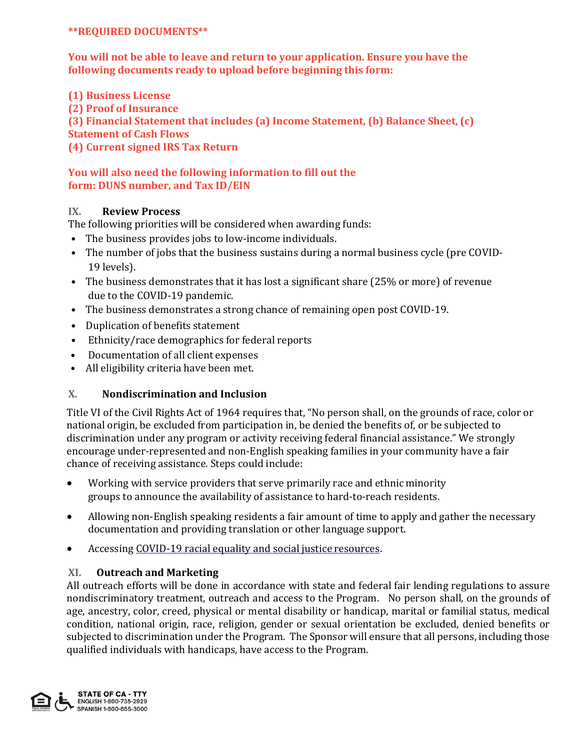### **\*\*REQUIRED DOCUMENTS\*\***

**You will not be able to leave and return to your application. Ensure you have the following documents ready to upload before beginning this form:**

**(1) Business License**

**(2) Proof of Insurance**

**(3) Financial Statement that includes (a) Income Statement, (b) Balance Sheet, (c)**

**Statement of Cash Flows**

**(4) Current signed IRS Tax Return**

## **You will also need the following information to fill out the form: DUNS number, and Tax ID/EIN**

## **IX. Review Process**

The following priorities will be considered when awarding funds:

- The business provides jobs to low-income individuals.
- The number of jobs that the business sustains during a normal business cycle (pre COVID-19 levels).
- The business demonstrates that it has lost a significant share (25% or more) of revenue due to the COVID-19 pandemic.
- The business demonstrates a strong chance of remaining open post COVID-19.
- Duplication of benefits statement
- Ethnicity/race demographics for federal reports
- Documentation of all client expenses
- All eligibility criteria have been met.

# **X. Nondiscrimination and Inclusion**

Title VI of the Civil Rights Act of 1964 requires that, "No person shall, on the grounds of race, color or national origin, be excluded from participation in, be denied the benefits of, or be subjected to discrimination under any program or activity receiving federal financial assistance." We strongly encourage under-represented and non-English speaking families in your community have a fair chance of receiving assistance. Steps could include:

- Working with service providers that serve primarily race and ethnic minority groups to announce the availability of assistance to hard-to-reach residents.
- Allowing non-English speaking residents a fair amount of time to apply and gather the necessary documentation and providing translation or other language support.
- Accessin[g COVID-19 racial equality and social justice](https://www.racialequitytools.org/fundamentals/resource-lists/resources-addressing-covid-19-with-racial-equity-lens) resources.

## **XI. Outreach and Marketing**

All outreach efforts will be done in accordance with state and federal fair lending regulations to assure nondiscriminatory treatment, outreach and access to the Program. No person shall, on the grounds of age, ancestry, color, creed, physical or mental disability or handicap, marital or familial status, medical condition, national origin, race, religion, gender or sexual orientation be excluded, denied benefits or subjected to discrimination under the Program. The Sponsor will ensure that all persons, including those qualified individuals with handicaps, have access to the Program.

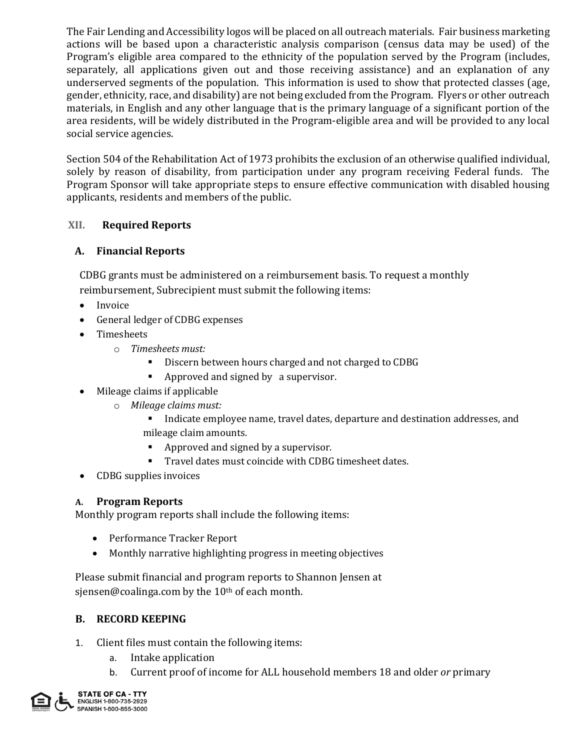The Fair Lending and Accessibility logos will be placed on all outreach materials. Fair business marketing actions will be based upon a characteristic analysis comparison (census data may be used) of the Program's eligible area compared to the ethnicity of the population served by the Program (includes, separately, all applications given out and those receiving assistance) and an explanation of any underserved segments of the population. This information is used to show that protected classes (age, gender, ethnicity, race, and disability) are not being excluded from the Program. Flyers or other outreach materials, in English and any other language that is the primary language of a significant portion of the area residents, will be widely distributed in the Program-eligible area and will be provided to any local social service agencies.

Section 504 of the Rehabilitation Act of 1973 prohibits the exclusion of an otherwise qualified individual, solely by reason of disability, from participation under any program receiving Federal funds. The Program Sponsor will take appropriate steps to ensure effective communication with disabled housing applicants, residents and members of the public.

## **XII. Required Reports**

# **A. Financial Reports**

CDBG grants must be administered on a reimbursement basis. To request a monthly reimbursement, Subrecipient must submit the following items:

- Invoice
- General ledger of CDBG expenses
- Timesheets
	- o *Timesheets must:*
		- Discern between hours charged and not charged to CDBG
		- Approved and signed by a supervisor.
- Mileage claims if applicable
	- o *Mileage claims must:*
		- Indicate employee name, travel dates, departure and destination addresses, and mileage claim amounts.
		- Approved and signed by a supervisor.
		- Travel dates must coincide with CDBG timesheet dates.
- CDBG supplies invoices

## **A. Program Reports**

Monthly program reports shall include the following items:

- Performance Tracker Report
- Monthly narrative highlighting progress in meeting objectives

Please submit financial and program reports to Shannon Jensen at sjensen@coalinga.com by the 10<sup>th</sup> of each month.

# **B. RECORD KEEPING**

- 1. Client files must contain the following items:
	- a. Intake application
	- b. Current proof of income for ALL household members 18 and older *or* primary

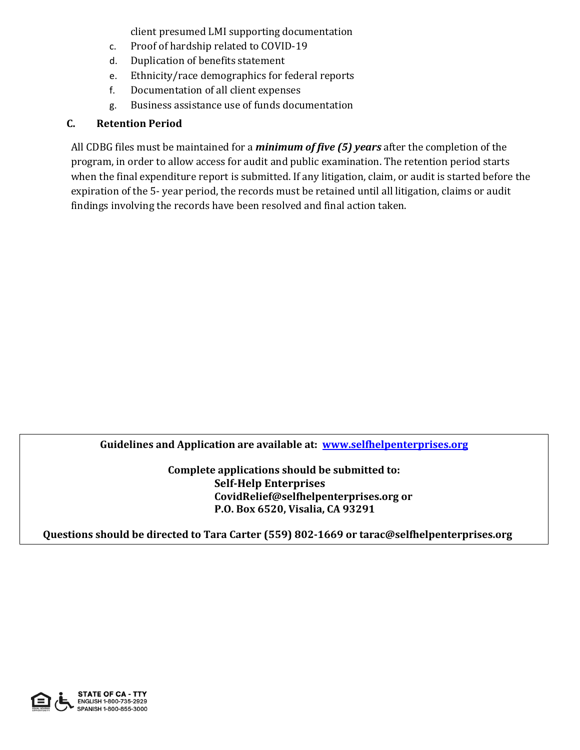client presumed LMI supporting documentation

- c. Proof of hardship related to COVID-19
- d. Duplication of benefits statement
- e. Ethnicity/race demographics for federal reports
- f. Documentation of all client expenses
- g. Business assistance use of funds documentation

# **C. Retention Period**

All CDBG files must be maintained for a *minimum of five (5) years* after the completion of the program, in order to allow access for audit and public examination. The retention period starts when the final expenditure report is submitted. If any litigation, claim, or audit is started before the expiration of the 5- year period, the records must be retained until all litigation, claims or audit findings involving the records have been resolved and final action taken.

**Guidelines and Application are available at: [www.selfhelpenterprises.org](http://www.selfhelpenterprises.org/)**

**Complete applications should be submitted to: Self-Help Enterprises [CovidRelief@selfhelpenterprises.org](mailto:CovidRelief@selfhelpenterprises.org) or P.O. Box 6520, Visalia, CA 93291**

**Questions should be directed to Tara Carter (559) 802-1669 or tarac@selfhelpenterprises.org**

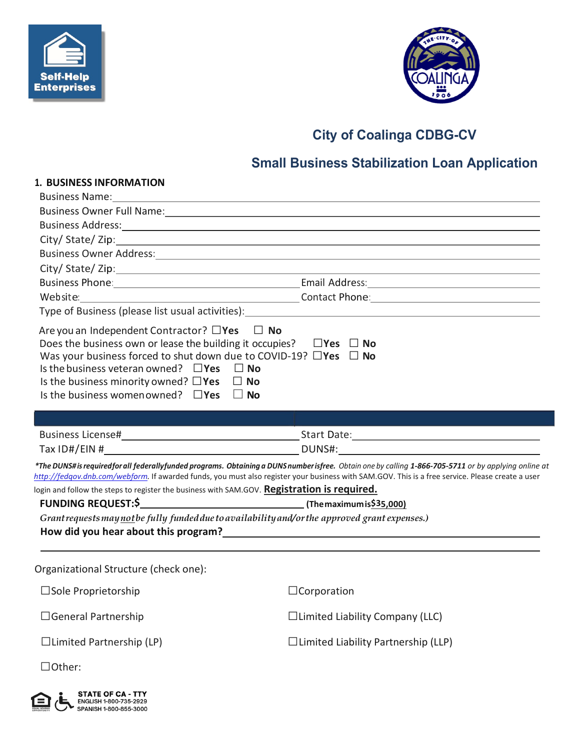



# **City of Coalinga CDBG-CV**

# **Small Business Stabilization Loan Application**

| <b>1. BUSINESS INFORMATION</b>                                                                                                                                                                                                                                                                                                                                                                   |                                                                                                                                                                                                                                                                                                                                                                                                                                                                                                                                                     |
|--------------------------------------------------------------------------------------------------------------------------------------------------------------------------------------------------------------------------------------------------------------------------------------------------------------------------------------------------------------------------------------------------|-----------------------------------------------------------------------------------------------------------------------------------------------------------------------------------------------------------------------------------------------------------------------------------------------------------------------------------------------------------------------------------------------------------------------------------------------------------------------------------------------------------------------------------------------------|
|                                                                                                                                                                                                                                                                                                                                                                                                  |                                                                                                                                                                                                                                                                                                                                                                                                                                                                                                                                                     |
|                                                                                                                                                                                                                                                                                                                                                                                                  |                                                                                                                                                                                                                                                                                                                                                                                                                                                                                                                                                     |
|                                                                                                                                                                                                                                                                                                                                                                                                  | Business Address: National Accounts of the Contract of the Contract of the Contract of the Contract of the Contract of the Contract of the Contract of the Contract of the Contract of the Contract of the Contract of the Con                                                                                                                                                                                                                                                                                                                      |
|                                                                                                                                                                                                                                                                                                                                                                                                  | City/State/Zip: example and the state of the state of the state of the state of the state of the state of the state of the state of the state of the state of the state of the state of the state of the state of the state of                                                                                                                                                                                                                                                                                                                      |
|                                                                                                                                                                                                                                                                                                                                                                                                  | Business Owner Address: 2008 and 2008 and 2008 and 2008 and 2008 and 2008 and 2008 and 2008 and 2008 and 2008                                                                                                                                                                                                                                                                                                                                                                                                                                       |
|                                                                                                                                                                                                                                                                                                                                                                                                  |                                                                                                                                                                                                                                                                                                                                                                                                                                                                                                                                                     |
|                                                                                                                                                                                                                                                                                                                                                                                                  | Business Phone: 1990 and 2001 and 2008 and 2008 and 2008 and 2008 and 2008 and 2008 and 2008 and 2008 and 2008 and 2008 and 2008 and 2008 and 2008 and 2008 and 2008 and 2008 and 2008 and 2008 and 2008 and 2008 and 2008 and                                                                                                                                                                                                                                                                                                                      |
|                                                                                                                                                                                                                                                                                                                                                                                                  | Website: Montant Phone: Manual Contact Phone: Manual Contact Phone: Manual Contact Phone: Manual Contact Phone                                                                                                                                                                                                                                                                                                                                                                                                                                      |
|                                                                                                                                                                                                                                                                                                                                                                                                  |                                                                                                                                                                                                                                                                                                                                                                                                                                                                                                                                                     |
| Are you an Independent Contractor? $\Box$ Yes $\Box$ No<br>Does the business own or lease the building it occupies? $\Box$ Yes $\Box$ No<br>Was your business forced to shut down due to COVID-19? $\Box$ Yes $\Box$ No<br>Is the business veteran owned? $\square$ Yes $\square$ No<br>Is the business minority owned? $\square$ Yes $\square$ No<br>Is the business women owned? $\square$ Yes | ∣ ∣No                                                                                                                                                                                                                                                                                                                                                                                                                                                                                                                                               |
|                                                                                                                                                                                                                                                                                                                                                                                                  |                                                                                                                                                                                                                                                                                                                                                                                                                                                                                                                                                     |
|                                                                                                                                                                                                                                                                                                                                                                                                  |                                                                                                                                                                                                                                                                                                                                                                                                                                                                                                                                                     |
|                                                                                                                                                                                                                                                                                                                                                                                                  |                                                                                                                                                                                                                                                                                                                                                                                                                                                                                                                                                     |
| login and follow the steps to register the business with SAM.GOV. Registration is required.<br>FUNDING REQUEST:\$ <b>Mathematic CONTENT:</b> (The maximum is \$35,000)<br>Grantrequests may not be fully funded due to availability and/or the approved grant expenses.)                                                                                                                         | *The DUNS# is requiredfor all federallyfunded programs. Obtaining a DUNS number isfree. Obtain one by calling 1-866-705-5711 or by applying online at<br>http://fedgov.dnb.com/webform. If awarded funds, you must also register your business with SAM.GOV. This is a free service. Please create a user<br>How did you hear about this program?<br><u>Letter and the contract of the contract of the contract of the contract of the contract of the contract of the contract of the contract of the contract of the contract of the contract</u> |
| Organizational Structure (check one):                                                                                                                                                                                                                                                                                                                                                            |                                                                                                                                                                                                                                                                                                                                                                                                                                                                                                                                                     |
| $\square$ Sole Proprietorship                                                                                                                                                                                                                                                                                                                                                                    | $\Box$ Corporation                                                                                                                                                                                                                                                                                                                                                                                                                                                                                                                                  |
| $\Box$ General Partnership                                                                                                                                                                                                                                                                                                                                                                       | $\Box$ Limited Liability Company (LLC)                                                                                                                                                                                                                                                                                                                                                                                                                                                                                                              |
| $\Box$ Limited Partnership (LP)                                                                                                                                                                                                                                                                                                                                                                  | $\Box$ Limited Liability Partnership (LLP)                                                                                                                                                                                                                                                                                                                                                                                                                                                                                                          |
| □Other:                                                                                                                                                                                                                                                                                                                                                                                          |                                                                                                                                                                                                                                                                                                                                                                                                                                                                                                                                                     |

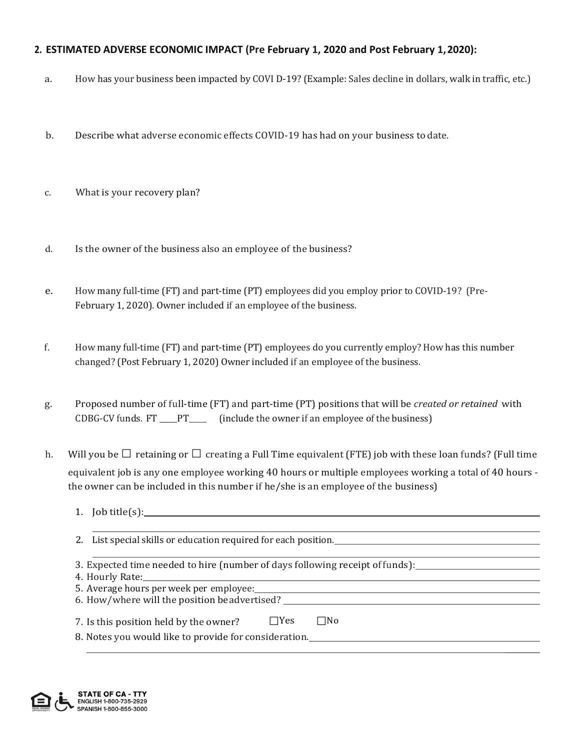## **2. ESTIMATED ADVERSE ECONOMIC IMPACT (Pre February 1, 2020 and Post February 1,2020):**

- a. How has your business been impacted by COVI D-19? (Example: Sales decline in dollars, walk in traffic, etc.)
- b. Describe what adverse economic effects COVID-19 has had on your business to date.
- c. What is your recovery plan?
- d. Is the owner of the business also an employee of the business?
- e. How many full-time (FT) and part-time (PT) employees did you employ prior to COVID-19? (Pre-February 1, 2020). Owner included if an employee of the business.
- f. How many full-time (FT) and part-time (PT) employees do you currently employ? How has this number changed? (Post February 1, 2020) Owner included if an employee of the business.
- g. Proposed number of full-time (FT) and part-time (PT) positions that will be *created or retained* with CDBG-CV funds.  $FT \_\_\$  PT (include the owner if an employee of the business)
- h. Will you be  $\Box$  retaining or  $\Box$  creating a Full Time equivalent (FTE) job with these loan funds? (Full time equivalent job is any one employee working 40 hours or multiple employees working a total of 40 hours the owner can be included in this number if he/she is an employee of the business)
	- 1. Job title(s):
	- 2. List special skills or education required for each position.
	- 3. Expected time needed to hire (number of days following receipt offunds):
	- 4. Hourly Rate:
	- 5. Average hours per week per employee: 6. How/where will the position beadvertised?
	- 7. Is this position held by the owner?  $\square$  Yes  $\square$  No
	- 8. Notes you would like to provide for consideration.

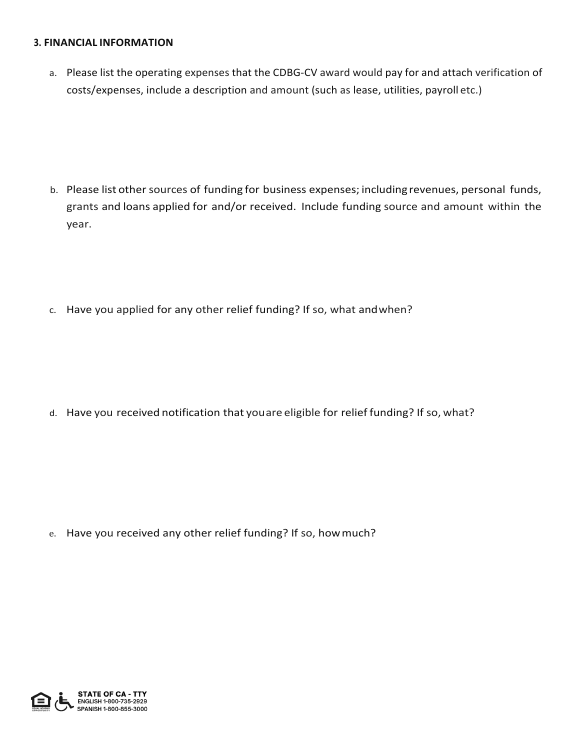### **3. FINANCIAL INFORMATION**

a. Please list the operating expenses that the CDBG-CV award would pay for and attach verification of costs/expenses, include a description and amount (such as lease, utilities, payroll etc.)

- b. Please list other sources of funding for business expenses; including revenues, personal funds, grants and loans applied for and/or received. Include funding source and amount within the year.
- c. Have you applied for any other relief funding? If so, what andwhen?

d. Have you received notification that youare eligible for relief funding? If so, what?

e. Have you received any other relief funding? If so, howmuch?

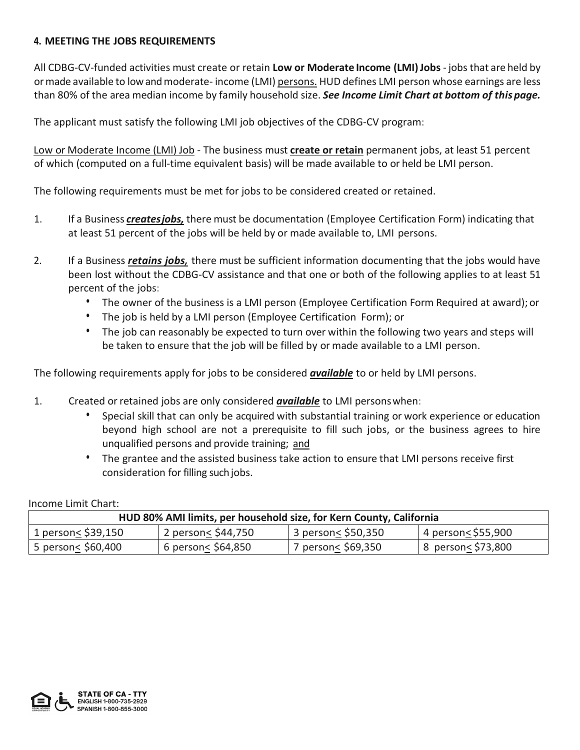## **4. MEETING THE JOBS REQUIREMENTS**

All CDBG-CV-funded activities must create or retain **Low or Moderate Income (LMI)Jobs** - jobs that are held by ormade available to lowandmoderate- income (LMI) persons. HUD defines LMI person whose earnings are less than 80% of the area median income by family household size. *See Income Limit Chart at bottom of this page.*

The applicant must satisfy the following LMI job objectives of the CDBG-CV program:

Low or Moderate Income (LMI) Job - The business must **create or retain** permanent jobs, at least 51 percent of which (computed on a full-time equivalent basis) will be made available to or held be LMI person.

The following requirements must be met for jobs to be considered created or retained.

- 1. If a Business *createsjobs,* there must be documentation (Employee Certification Form) indicating that at least 51 percent of the jobs will be held by or made available to, LMI persons.
- 2. If a Business *retains jobs,* there must be sufficient information documenting that the jobs would have been lost without the CDBG-CV assistance and that one or both of the following applies to at least 51 percent of the jobs:
	- The owner of the business is a LMI person (Employee Certification Form Required at award); or
	- The job is held by a LMI person (Employee Certification Form); or
	- The job can reasonably be expected to turn over within the following two years and steps will be taken to ensure that the job will be filled by or made available to a LMI person.

The following requirements apply for jobs to be considered *available* to or held by LMI persons.

- 1. Created or retained jobs are only considered *available* to LMI personswhen:
	- Special skill that can only be acquired with substantial training or work experience or education beyond high school are not a prerequisite to fill such jobs, or the business agrees to hire unqualified persons and provide training; and
	- The grantee and the assisted business take action to ensure that LMI persons receive first consideration for filling such jobs.

Income Limit Chart:

| HUD 80% AMI limits, per household size, for Kern County, California |                    |                    |                    |  |  |  |  |
|---------------------------------------------------------------------|--------------------|--------------------|--------------------|--|--|--|--|
| 1 person< \$39,150                                                  | 2 person< \$44,750 | 3 person< \$50,350 | 4 person< \$55,900 |  |  |  |  |
| 5 person< \$60,400                                                  | 6 person< \$64,850 | 7 person< \$69,350 | 8 person< \$73,800 |  |  |  |  |